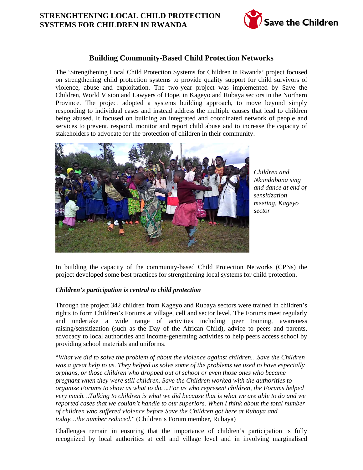# **STRENGHTENING LOCAL CHILD PROTECTION SYSTEMS FOR CHILDREN IN RWANDA**



## **Building Community-Based Child Protection Networks**

The 'Strengthening Local Child Protection Systems for Children in Rwanda' project focused on strengthening child protection systems to provide quality support for child survivors of violence, abuse and exploitation. The two-year project was implemented by Save the Children, World Vision and Lawyers of Hope, in Kageyo and Rubaya sectors in the Northern Province. The project adopted a systems building approach, to move beyond simply responding to individual cases and instead address the multiple causes that lead to children being abused. It focused on building an integrated and coordinated network of people and services to prevent, respond, monitor and report child abuse and to increase the capacity of stakeholders to advocate for the protection of children in their community.



*Children and Nkundabana sing and dance at end of sensitization meeting, Kageyo sector*

In building the capacity of the community-based Child Protection Networks (CPNs) the project developed some best practices for strengthening local systems for child protection.

## *Children's participation is central to child protection*

Through the project 342 children from Kageyo and Rubaya sectors were trained in children's rights to form Children's Forums at village, cell and sector level. The Forums meet regularly and undertake a wide range of activities including peer training, awareness raising/sensitization (such as the Day of the African Child), advice to peers and parents, advocacy to local authorities and income-generating activities to help peers access school by providing school materials and uniforms.

"*What we did to solve the problem of about the violence against children…Save the Children was a great help to us. They helped us solve some of the problems we used to have especially orphans, or those children who dropped out of school or even those ones who became pregnant when they were still children. Save the Children worked with the authorities to organize Forums to show us what to do….For us who represent children, the Forums helped very much…Talking to children is what we did because that is what we are able to do and we reported cases that we couldn't handle to our superiors. When I think about the total number of children who suffered violence before Save the Children got here at Rubaya and today…the number reduced.*" (Children's Forum member, Rubaya)

Challenges remain in ensuring that the importance of children's participation is fully recognized by local authorities at cell and village level and in involving marginalised